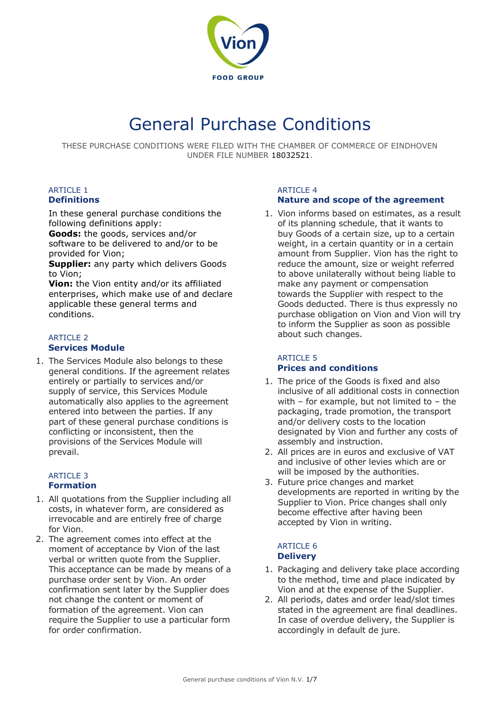

# General Purchase Conditions

THESE PURCHASE CONDITIONS WERE FILED WITH THE CHAMBER OF COMMERCE OF EINDHOVEN UNDER FILE NUMBER 18032521.

#### **ARTICLE 1 Definitions**

In these general purchase conditions the following definitions apply:

**Goods:** the goods, services and/or software to be delivered to and/or to be provided for Vion;

**Supplier:** any party which delivers Goods to Vion;

**Vion:** the Vion entity and/or its affiliated enterprises, which make use of and declare applicable these general terms and conditions.

#### **ARTICLE 2 Services Module**

1. The Services Module also belongs to these general conditions. If the agreement relates entirely or partially to services and/or supply of service, this Services Module automatically also applies to the agreement entered into between the parties. If any part of these general purchase conditions is conflicting or inconsistent, then the provisions of the Services Module will prevail.

#### **ARTICLE 3 Formation**

- 1. All quotations from the Supplier including all costs, in whatever form, are considered as irrevocable and are entirely free of charge for Vion.
- 2. The agreement comes into effect at the moment of acceptance by Vion of the last verbal or written quote from the Supplier. This acceptance can be made by means of a purchase order sent by Vion. An order confirmation sent later by the Supplier does not change the content or moment of formation of the agreement. Vion can require the Supplier to use a particular form for order confirmation.

#### **ARTICLE 4 Nature and scope of the agreement**

1. Vion informs based on estimates, as a result of its planning schedule, that it wants to buy Goods of a certain size, up to a certain weight, in a certain quantity or in a certain amount from Supplier. Vion has the right to reduce the amount, size or weight referred to above unilaterally without being liable to make any payment or compensation towards the Supplier with respect to the Goods deducted. There is thus expressly no purchase obligation on Vion and Vion will try to inform the Supplier as soon as possible

## **ARTICLE 5 Prices and conditions**

about such changes.

- 1. The price of the Goods is fixed and also inclusive of all additional costs in connection with – for example, but not limited to – the packaging, trade promotion, the transport and/or delivery costs to the location designated by Vion and further any costs of assembly and instruction.
- 2. All prices are in euros and exclusive of VAT and inclusive of other levies which are or will be imposed by the authorities.
- 3. Future price changes and market developments are reported in writing by the Supplier to Vion. Price changes shall only become effective after having been accepted by Vion in writing.

#### ARTICLE 6 **Delivery**

- 1. Packaging and delivery take place according to the method, time and place indicated by Vion and at the expense of the Supplier.
- 2. All periods, dates and order lead/slot times stated in the agreement are final deadlines. In case of overdue delivery, the Supplier is accordingly in default de jure.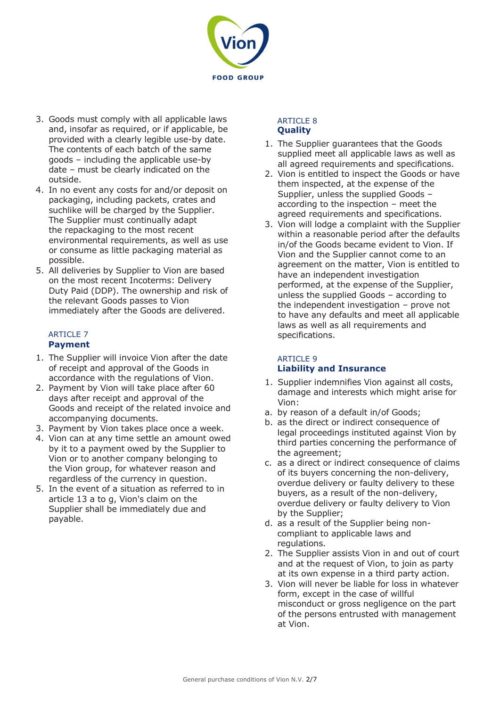

- 3. Goods must comply with all applicable laws and, insofar as required, or if applicable, be provided with a clearly legible use-by date. The contents of each batch of the same goods – including the applicable use-by date – must be clearly indicated on the outside.
- 4. In no event any costs for and/or deposit on packaging, including packets, crates and suchlike will be charged by the Supplier. The Supplier must continually adapt the repackaging to the most recent environmental requirements, as well as use or consume as little packaging material as possible.
- 5. All deliveries by Supplier to Vion are based on the most recent Incoterms: Delivery Duty Paid (DDP). The ownership and risk of the relevant Goods passes to Vion immediately after the Goods are delivered.

#### ARTICLE 7 **Payment**

- 1. The Supplier will invoice Vion after the date of receipt and approval of the Goods in accordance with the regulations of Vion.
- 2. Payment by Vion will take place after 60 days after receipt and approval of the Goods and receipt of the related invoice and accompanying documents.
- 3. Payment by Vion takes place once a week.
- 4. Vion can at any time settle an amount owed by it to a payment owed by the Supplier to Vion or to another company belonging to the Vion group, for whatever reason and regardless of the currency in question.
- 5. In the event of a situation as referred to in article 13 a to g, Vion's claim on the Supplier shall be immediately due and payable.

#### ARTICLE 8 **Quality**

- 1. The Supplier guarantees that the Goods supplied meet all applicable laws as well as all agreed requirements and specifications.
- 2. Vion is entitled to inspect the Goods or have them inspected, at the expense of the Supplier, unless the supplied Goods – according to the inspection – meet the agreed requirements and specifications.
- 3. Vion will lodge a complaint with the Supplier within a reasonable period after the defaults in/of the Goods became evident to Vion. If Vion and the Supplier cannot come to an agreement on the matter, Vion is entitled to have an independent investigation performed, at the expense of the Supplier, unless the supplied Goods – according to the independent investigation – prove not to have any defaults and meet all applicable laws as well as all requirements and specifications.

## ARTICLE 9 **Liability and Insurance**

- 1. Supplier indemnifies Vion against all costs, damage and interests which might arise for Vion:
- a. by reason of a default in/of Goods;
- b. as the direct or indirect consequence of legal proceedings instituted against Vion by third parties concerning the performance of the agreement;
- c. as a direct or indirect consequence of claims of its buyers concerning the non-delivery, overdue delivery or faulty delivery to these buyers, as a result of the non-delivery, overdue delivery or faulty delivery to Vion by the Supplier;
- d. as a result of the Supplier being noncompliant to applicable laws and regulations.
- 2. The Supplier assists Vion in and out of court and at the request of Vion, to join as party at its own expense in a third party action.
- 3. Vion will never be liable for loss in whatever form, except in the case of willful misconduct or gross negligence on the part of the persons entrusted with management at Vion.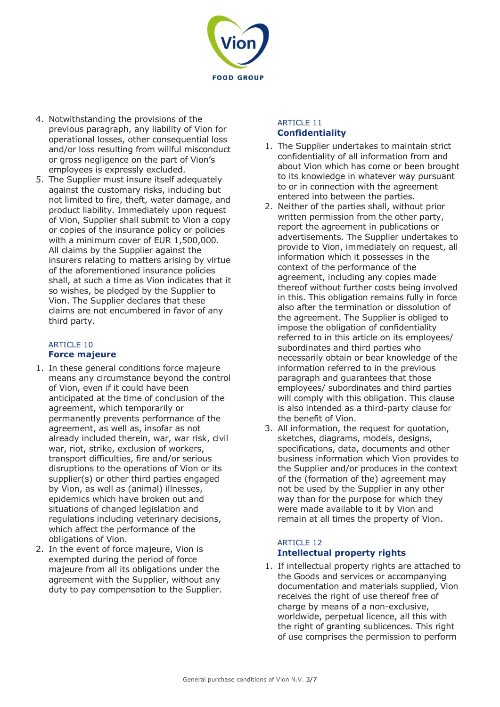

- 4. Notwithstanding the provisions of the previous paragraph, any liability of Vion for operational losses, other consequential loss and/or loss resulting from willful misconduct or gross negligence on the part of Vion's employees is expressly excluded.
- 5. The Supplier must insure itself adequately against the customary risks, including but not limited to fire, theft, water damage, and product liability. Immediately upon request of Vion, Supplier shall submit to Vion a copy or copies of the insurance policy or policies with a minimum cover of EUR 1,500,000. All claims by the Supplier against the insurers relating to matters arising by virtue of the aforementioned insurance policies shall, at such a time as Vion indicates that it so wishes, be pledged by the Supplier to Vion. The Supplier declares that these claims are not encumbered in favor of any third party.

## ARTICLE 10 **Force majeure**

- 1. In these general conditions force majeure means any circumstance beyond the control of Vion, even if it could have been anticipated at the time of conclusion of the agreement, which temporarily or permanently prevents performance of the agreement, as well as, insofar as not already included therein, war, war risk, civil war, riot, strike, exclusion of workers, transport difficulties, fire and/or serious disruptions to the operations of Vion or its supplier(s) or other third parties engaged by Vion, as well as (animal) illnesses, epidemics which have broken out and situations of changed legislation and regulations including veterinary decisions, which affect the performance of the obligations of Vion.
- 2. In the event of force majeure, Vion is exempted during the period of force majeure from all its obligations under the agreement with the Supplier, without any duty to pay compensation to the Supplier.

#### ARTICLE 11 **Confidentiality**

- 1. The Supplier undertakes to maintain strict confidentiality of all information from and about Vion which has come or been brought to its knowledge in whatever way pursuant to or in connection with the agreement entered into between the parties.
- 2. Neither of the parties shall, without prior written permission from the other party, report the agreement in publications or advertisements. The Supplier undertakes to provide to Vion, immediately on request, all information which it possesses in the context of the performance of the agreement, including any copies made thereof without further costs being involved in this. This obligation remains fully in force also after the termination or dissolution of the agreement. The Supplier is obliged to impose the obligation of confidentiality referred to in this article on its employees/ subordinates and third parties who necessarily obtain or bear knowledge of the information referred to in the previous paragraph and guarantees that those employees/ subordinates and third parties will comply with this obligation. This clause is also intended as a third-party clause for the benefit of Vion.
- 3. All information, the request for quotation, sketches, diagrams, models, designs, specifications, data, documents and other business information which Vion provides to the Supplier and/or produces in the context of the (formation of the) agreement may not be used by the Supplier in any other way than for the purpose for which they were made available to it by Vion and remain at all times the property of Vion.

#### ARTICLE 12 **Intellectual property rights**

1. If intellectual property rights are attached to the Goods and services or accompanying documentation and materials supplied, Vion receives the right of use thereof free of charge by means of a non-exclusive, worldwide, perpetual licence, all this with the right of granting sublicences. This right of use comprises the permission to perform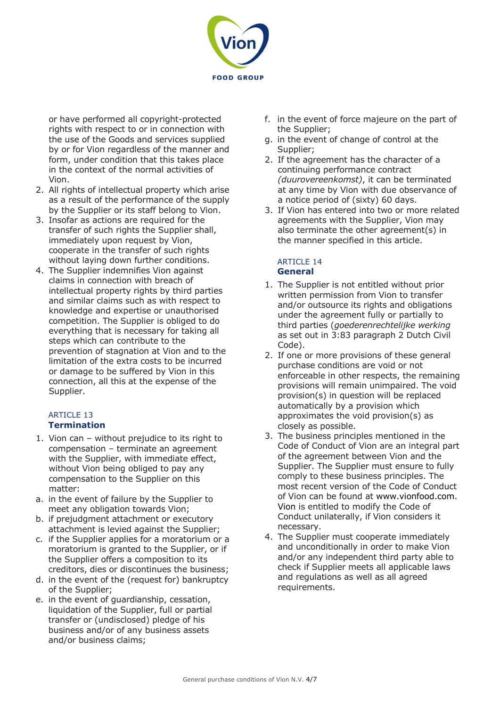

or have performed all copyright-protected rights with respect to or in connection with the use of the Goods and services supplied by or for Vion regardless of the manner and form, under condition that this takes place in the context of the normal activities of Vion.

- 2. All rights of intellectual property which arise as a result of the performance of the supply by the Supplier or its staff belong to Vion.
- 3. Insofar as actions are required for the transfer of such rights the Supplier shall, immediately upon request by Vion, cooperate in the transfer of such rights without laying down further conditions.
- 4. The Supplier indemnifies Vion against claims in connection with breach of intellectual property rights by third parties and similar claims such as with respect to knowledge and expertise or unauthorised competition. The Supplier is obliged to do everything that is necessary for taking all steps which can contribute to the prevention of stagnation at Vion and to the limitation of the extra costs to be incurred or damage to be suffered by Vion in this connection, all this at the expense of the Supplier.

#### ARTICLE 13 **Termination**

- 1. Vion can without prejudice to its right to compensation – terminate an agreement with the Supplier, with immediate effect, without Vion being obliged to pay any compensation to the Supplier on this matter:
- a. in the event of failure by the Supplier to meet any obligation towards Vion;
- b. if prejudgment attachment or executory attachment is levied against the Supplier;
- c. if the Supplier applies for a moratorium or a moratorium is granted to the Supplier, or if the Supplier offers a composition to its creditors, dies or discontinues the business;
- d. in the event of the (request for) bankruptcy of the Supplier;
- e. in the event of guardianship, cessation, liquidation of the Supplier, full or partial transfer or (undisclosed) pledge of his business and/or of any business assets and/or business claims;
- f. in the event of force majeure on the part of the Supplier;
- g. in the event of change of control at the Supplier;
- 2. If the agreement has the character of a continuing performance contract *(duurovereenkomst)*, it can be terminated at any time by Vion with due observance of a notice period of (sixty) 60 days.
- 3. If Vion has entered into two or more related agreements with the Supplier, Vion may also terminate the other agreement(s) in the manner specified in this article.

#### ARTICLE 14 **General**

- 1. The Supplier is not entitled without prior written permission from Vion to transfer and/or outsource its rights and obligations under the agreement fully or partially to third parties (*goederenrechtelijke werking*  as set out in 3:83 paragraph 2 Dutch Civil Code).
- 2. If one or more provisions of these general purchase conditions are void or not enforceable in other respects, the remaining provisions will remain unimpaired. The void provision(s) in question will be replaced automatically by a provision which approximates the void provision(s) as closely as possible.
- 3. The business principles mentioned in the Code of Conduct of Vion are an integral part of the agreement between Vion and the Supplier. The Supplier must ensure to fully comply to these business principles. The most recent version of the Code of Conduct of Vion can be found at [www.vionfood.com.](http://www.vionfood.com/)  Vion is entitled to modify the Code of Conduct unilaterally, if Vion considers it necessary.
- 4. The Supplier must cooperate immediately and unconditionally in order to make Vion and/or any independent third party able to check if Supplier meets all applicable laws and regulations as well as all agreed requirements.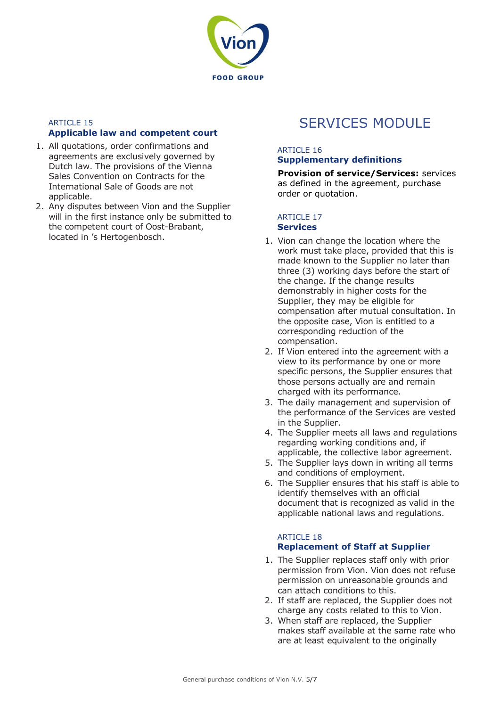

#### ARTICLE 15 **Applicable law and competent court**

- 1. All quotations, order confirmations and agreements are exclusively governed by Dutch law. The provisions of the Vienna Sales Convention on Contracts for the International Sale of Goods are not applicable.
- 2. Any disputes between Vion and the Supplier will in the first instance only be submitted to the competent court of Oost-Brabant, located in 's Hertogenbosch.

## SERVICES MODULE

## ARTICLE 16

## **Supplementary definitions**

**Provision of service/Services:** services as defined in the agreement, purchase order or quotation.

## ARTICLE 17

## **Services**

- 1. Vion can change the location where the work must take place, provided that this is made known to the Supplier no later than three (3) working days before the start of the change. If the change results demonstrably in higher costs for the Supplier, they may be eligible for compensation after mutual consultation. In the opposite case, Vion is entitled to a corresponding reduction of the compensation.
- 2. If Vion entered into the agreement with a view to its performance by one or more specific persons, the Supplier ensures that those persons actually are and remain charged with its performance.
- 3. The daily management and supervision of the performance of the Services are vested in the Supplier.
- 4. The Supplier meets all laws and regulations regarding working conditions and, if applicable, the collective labor agreement.
- 5. The Supplier lays down in writing all terms and conditions of employment.
- 6. The Supplier ensures that his staff is able to identify themselves with an official document that is recognized as valid in the applicable national laws and regulations.

#### ARTICLE 18 **Replacement of Staff at Supplier**

- 1. The Supplier replaces staff only with prior permission from Vion. Vion does not refuse permission on unreasonable grounds and can attach conditions to this.
- 2. If staff are replaced, the Supplier does not charge any costs related to this to Vion.
- 3. When staff are replaced, the Supplier makes staff available at the same rate who are at least equivalent to the originally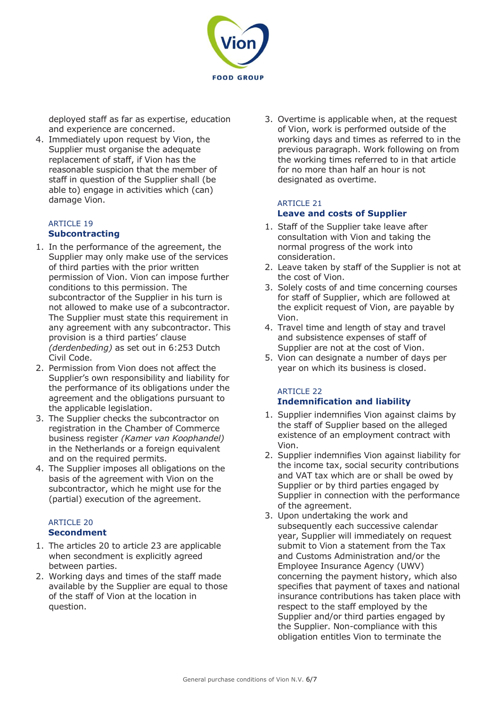

deployed staff as far as expertise, education and experience are concerned.

4. Immediately upon request by Vion, the Supplier must organise the adequate replacement of staff, if Vion has the reasonable suspicion that the member of staff in question of the Supplier shall (be able to) engage in activities which (can) damage Vion.

### ARTICLE 19 **Subcontracting**

- 1. In the performance of the agreement, the Supplier may only make use of the services of third parties with the prior written permission of Vion. Vion can impose further conditions to this permission. The subcontractor of the Supplier in his turn is not allowed to make use of a subcontractor. The Supplier must state this requirement in any agreement with any subcontractor. This provision is a third parties' clause *(derdenbeding)* as set out in 6:253 Dutch Civil Code.
- 2. Permission from Vion does not affect the Supplier's own responsibility and liability for the performance of its obligations under the agreement and the obligations pursuant to the applicable legislation.
- 3. The Supplier checks the subcontractor on registration in the Chamber of Commerce business register *(Kamer van Koophandel)*  in the Netherlands or a foreign equivalent and on the required permits.
- 4. The Supplier imposes all obligations on the basis of the agreement with Vion on the subcontractor, which he might use for the (partial) execution of the agreement.

#### ARTICLE 20 **Secondment**

- 1. The articles 20 to article 23 are applicable when secondment is explicitly agreed between parties.
- 2. Working days and times of the staff made available by the Supplier are equal to those of the staff of Vion at the location in question.

3. Overtime is applicable when, at the request of Vion, work is performed outside of the working days and times as referred to in the previous paragraph. Work following on from the working times referred to in that article for no more than half an hour is not designated as overtime.

#### ARTICLE 21 **Leave and costs of Supplier**

- 1. Staff of the Supplier take leave after consultation with Vion and taking the normal progress of the work into consideration.
- 2. Leave taken by staff of the Supplier is not at the cost of Vion.
- 3. Solely costs of and time concerning courses for staff of Supplier, which are followed at the explicit request of Vion, are payable by Vion.
- 4. Travel time and length of stay and travel and subsistence expenses of staff of Supplier are not at the cost of Vion.
- 5. Vion can designate a number of days per year on which its business is closed.

#### ARTICLE 22 **Indemnification and liability**

- 1. Supplier indemnifies Vion against claims by the staff of Supplier based on the alleged existence of an employment contract with Vion.
- 2. Supplier indemnifies Vion against liability for the income tax, social security contributions and VAT tax which are or shall be owed by Supplier or by third parties engaged by Supplier in connection with the performance of the agreement.
- 3. Upon undertaking the work and subsequently each successive calendar year, Supplier will immediately on request submit to Vion a statement from the Tax and Customs Administration and/or the Employee Insurance Agency (UWV) concerning the payment history, which also specifies that payment of taxes and national insurance contributions has taken place with respect to the staff employed by the Supplier and/or third parties engaged by the Supplier. Non-compliance with this obligation entitles Vion to terminate the